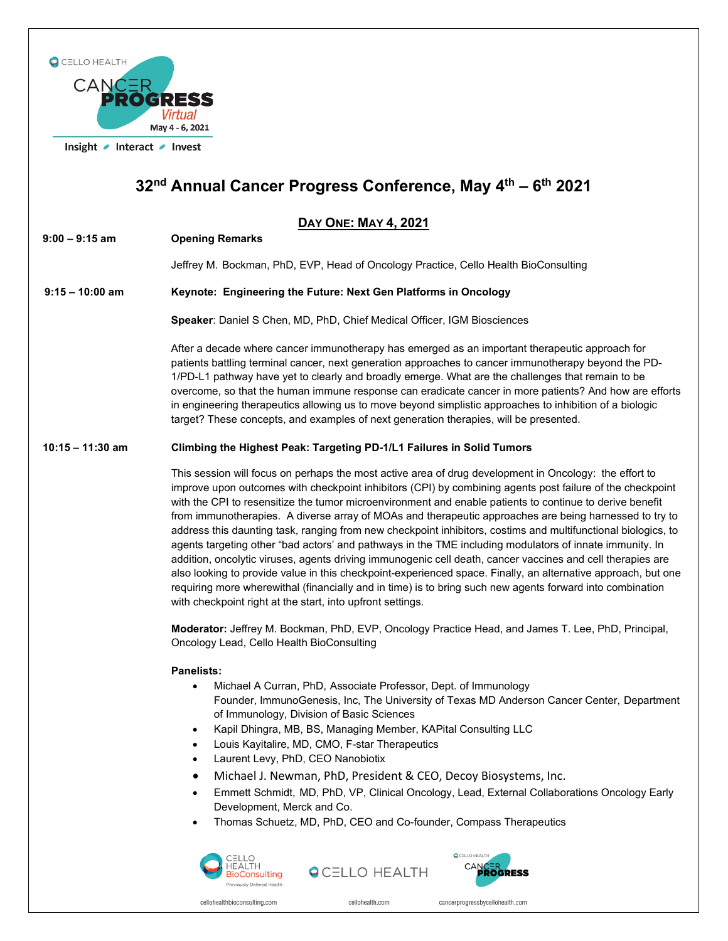

# **32nd Annual Cancer Progress Conference, May 4th – 6th 2021**

# **DAY ONE: MAY 4, 2021**

**9:00 – 9:15 am Opening Remarks** 

Jeffrey M. Bockman, PhD, EVP, Head of Oncology Practice, Cello Health BioConsulting

## **9:15 – 10:00 am Keynote: Engineering the Future: Next Gen Platforms in Oncology**

**Speaker**: Daniel S Chen, MD, PhD, Chief Medical Officer, IGM Biosciences

After a decade where cancer immunotherapy has emerged as an important therapeutic approach for patients battling terminal cancer, next generation approaches to cancer immunotherapy beyond the PD-1/PD-L1 pathway have yet to clearly and broadly emerge. What are the challenges that remain to be overcome, so that the human immune response can eradicate cancer in more patients? And how are efforts in engineering therapeutics allowing us to move beyond simplistic approaches to inhibition of a biologic target? These concepts, and examples of next generation therapies, will be presented.

## **10:15 – 11:30 am Climbing the Highest Peak: Targeting PD-1/L1 Failures in Solid Tumors**

This session will focus on perhaps the most active area of drug development in Oncology: the effort to improve upon outcomes with checkpoint inhibitors (CPI) by combining agents post failure of the checkpoint with the CPI to resensitize the tumor microenvironment and enable patients to continue to derive benefit from immunotherapies. A diverse array of MOAs and therapeutic approaches are being harnessed to try to address this daunting task, ranging from new checkpoint inhibitors, costims and multifunctional biologics, to agents targeting other "bad actors' and pathways in the TME including modulators of innate immunity. In addition, oncolytic viruses, agents driving immunogenic cell death, cancer vaccines and cell therapies are also looking to provide value in this checkpoint-experienced space. Finally, an alternative approach, but one requiring more wherewithal (financially and in time) is to bring such new agents forward into combination with checkpoint right at the start, into upfront settings.

**Moderator:** Jeffrey M. Bockman, PhD, EVP, Oncology Practice Head, and James T. Lee, PhD, Principal, Oncology Lead, Cello Health BioConsulting

## **Panelists:**

- Michael A Curran, PhD, Associate Professor, Dept. of Immunology Founder, ImmunoGenesis, Inc, The University of Texas MD Anderson Cancer Center, Department of Immunology, Division of Basic Sciences
- Kapil Dhingra, MB, BS, Managing Member, KAPital Consulting LLC
- Louis Kayitalire, MD, CMO, F-star Therapeutics
- Laurent Levy, PhD, CEO Nanobiotix
- Michael J. Newman, PhD, President & CEO, Decoy Biosystems, Inc.
- Emmett Schmidt, MD, PhD, VP, Clinical Oncology, Lead, External Collaborations Oncology Early Development, Merck and Co.
- Thomas Schuetz, MD, PhD, CEO and Co-founder, Compass Therapeutics





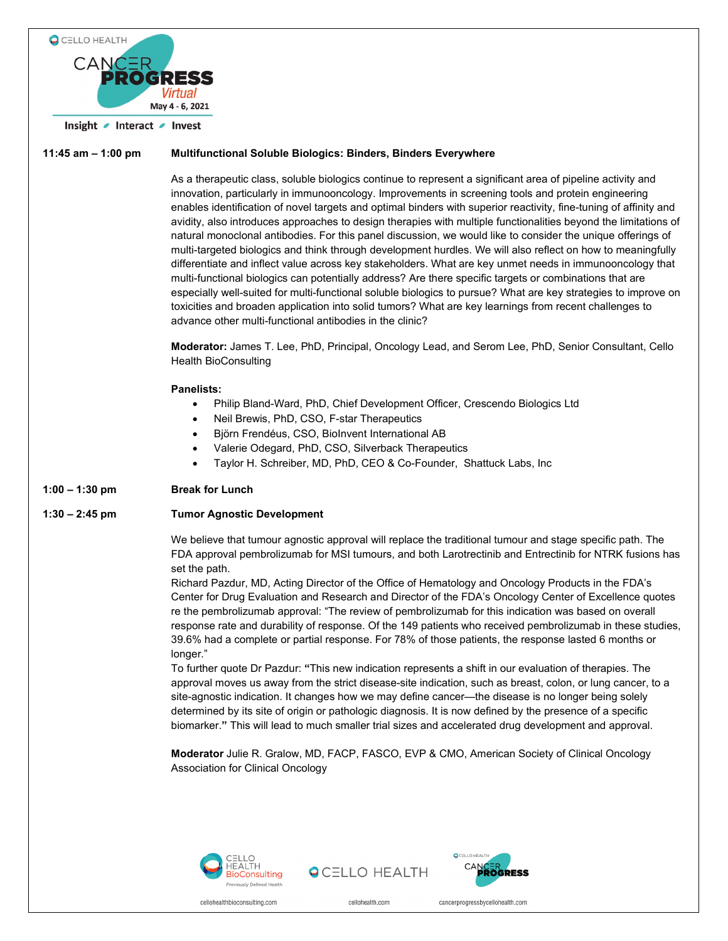



**QCELLO HEALTH** 



cellohealthbioconsulting.com

cellohealth com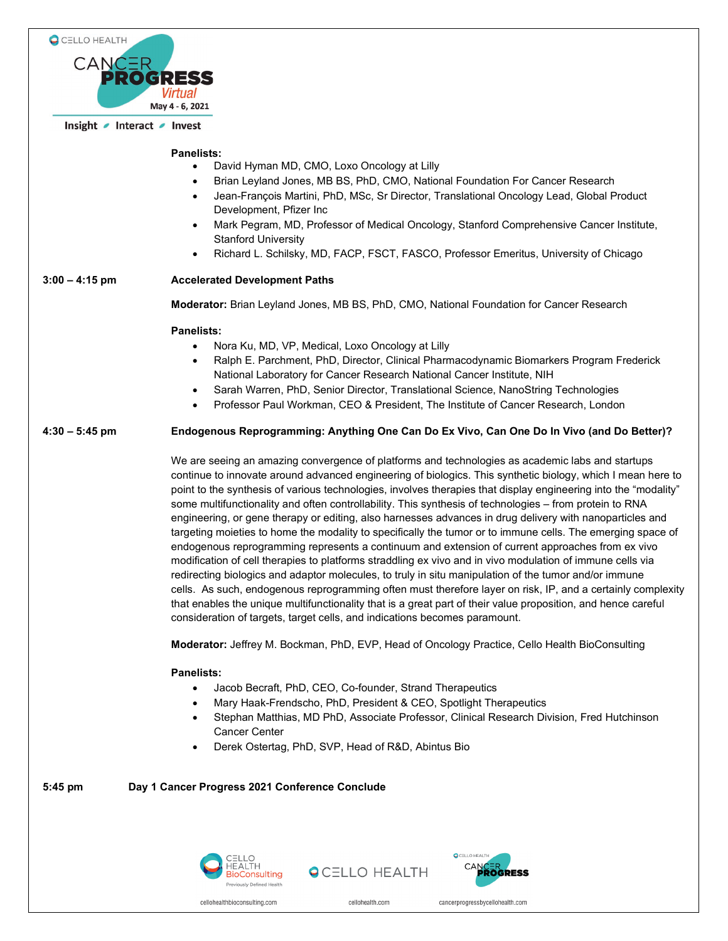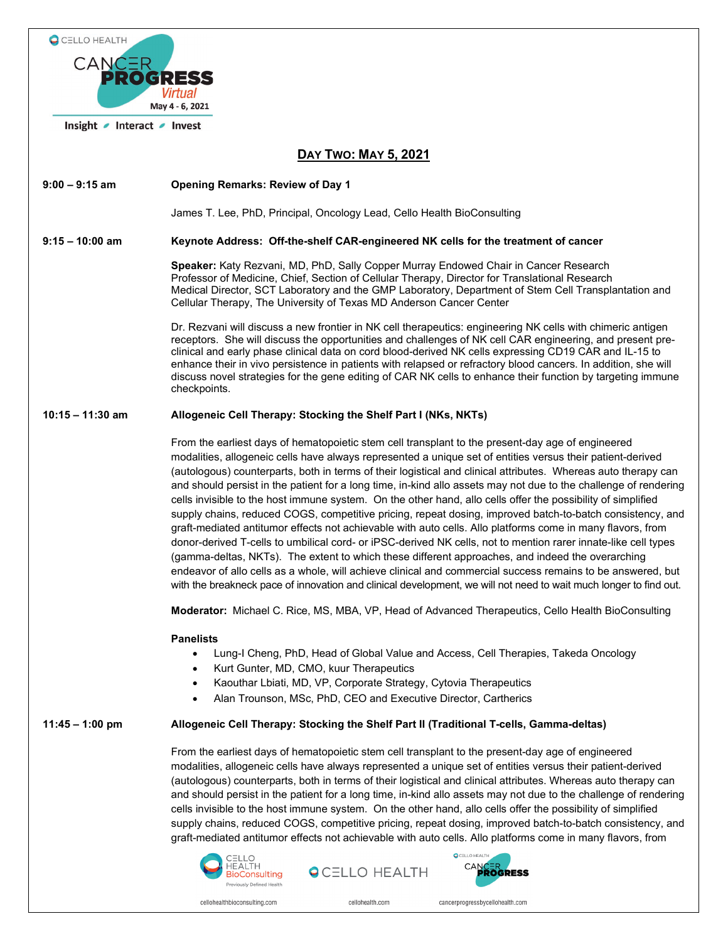

## **DAY TWO: MAY 5, 2021**

**9:00 – 9:15 am Opening Remarks: Review of Day 1**

James T. Lee, PhD, Principal, Oncology Lead, Cello Health BioConsulting

## **9:15 – 10:00 am Keynote Address: Off-the-shelf CAR-engineered NK cells for the treatment of cancer**

**Speaker:** Katy Rezvani, MD, PhD, Sally Copper Murray Endowed Chair in Cancer Research Professor of Medicine, Chief, Section of Cellular Therapy, Director for Translational Research Medical Director, SCT Laboratory and the GMP Laboratory, Department of Stem Cell Transplantation and Cellular Therapy, The University of Texas MD Anderson Cancer Center

Dr. Rezvani will discuss a new frontier in NK cell therapeutics: engineering NK cells with chimeric antigen receptors. She will discuss the opportunities and challenges of NK cell CAR engineering, and present preclinical and early phase clinical data on cord blood-derived NK cells expressing CD19 CAR and IL-15 to enhance their in vivo persistence in patients with relapsed or refractory blood cancers. In addition, she will discuss novel strategies for the gene editing of CAR NK cells to enhance their function by targeting immune checkpoints.

## **10:15 – 11:30 am Allogeneic Cell Therapy: Stocking the Shelf Part I (NKs, NKTs)**

From the earliest days of hematopoietic stem cell transplant to the present-day age of engineered modalities, allogeneic cells have always represented a unique set of entities versus their patient-derived (autologous) counterparts, both in terms of their logistical and clinical attributes. Whereas auto therapy can and should persist in the patient for a long time, in-kind allo assets may not due to the challenge of rendering cells invisible to the host immune system. On the other hand, allo cells offer the possibility of simplified supply chains, reduced COGS, competitive pricing, repeat dosing, improved batch-to-batch consistency, and graft-mediated antitumor effects not achievable with auto cells. Allo platforms come in many flavors, from donor-derived T-cells to umbilical cord- or iPSC-derived NK cells, not to mention rarer innate-like cell types (gamma-deltas, NKTs). The extent to which these different approaches, and indeed the overarching endeavor of allo cells as a whole, will achieve clinical and commercial success remains to be answered, but with the breakneck pace of innovation and clinical development, we will not need to wait much longer to find out.

**Moderator:** Michael C. Rice, MS, MBA, VP, Head of Advanced Therapeutics, Cello Health BioConsulting

## **Panelists**

- Lung-I Cheng, PhD, Head of Global Value and Access, Cell Therapies, Takeda Oncology
- Kurt Gunter, MD, CMO, kuur Therapeutics
- Kaouthar Lbiati, MD, VP, Corporate Strategy, Cytovia Therapeutics
- Alan Trounson, MSc, PhD, CEO and Executive Director, Cartherics

## **11:45 – 1:00 pm Allogeneic Cell Therapy: Stocking the Shelf Part II (Traditional T-cells, Gamma-deltas)**

From the earliest days of hematopoietic stem cell transplant to the present-day age of engineered modalities, allogeneic cells have always represented a unique set of entities versus their patient-derived (autologous) counterparts, both in terms of their logistical and clinical attributes. Whereas auto therapy can and should persist in the patient for a long time, in-kind allo assets may not due to the challenge of rendering cells invisible to the host immune system. On the other hand, allo cells offer the possibility of simplified supply chains, reduced COGS, competitive pricing, repeat dosing, improved batch-to-batch consistency, and graft-mediated antitumor effects not achievable with auto cells. Allo platforms come in many flavors, from







cellohealthbioconsulting.com

cellohealth com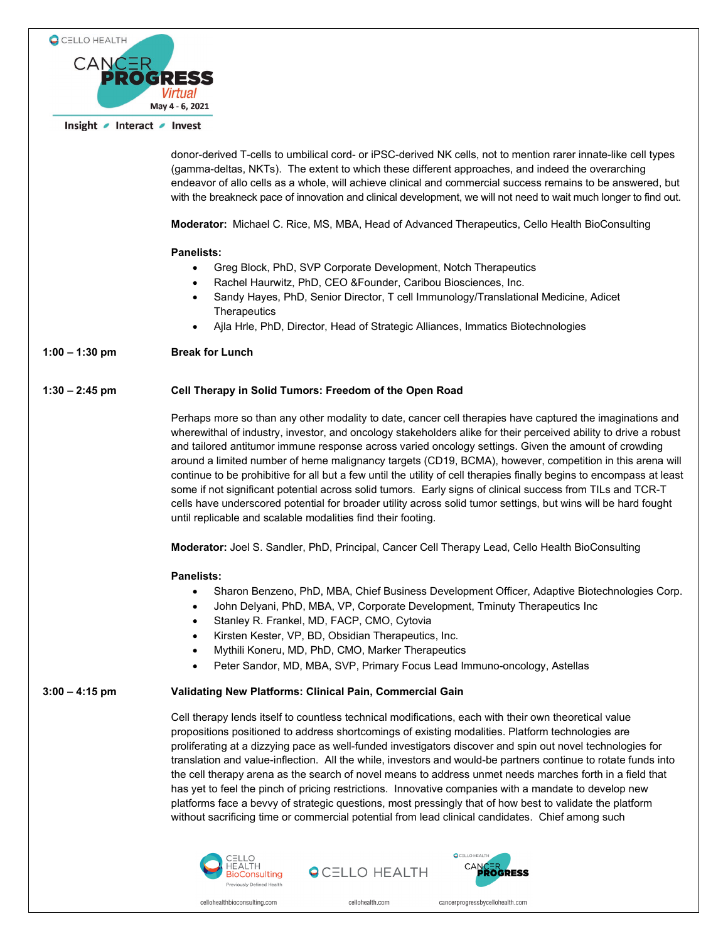

donor-derived T-cells to umbilical cord- or iPSC-derived NK cells, not to mention rarer innate-like cell types (gamma-deltas, NKTs). The extent to which these different approaches, and indeed the overarching endeavor of allo cells as a whole, will achieve clinical and commercial success remains to be answered, but with the breakneck pace of innovation and clinical development, we will not need to wait much longer to find out.

**Moderator:** Michael C. Rice, MS, MBA, Head of Advanced Therapeutics, Cello Health BioConsulting

#### **Panelists:**

- Greg Block, PhD, SVP Corporate Development, Notch Therapeutics
- Rachel Haurwitz, PhD, CEO &Founder, Caribou Biosciences, Inc.
- Sandy Hayes, PhD, Senior Director, T cell Immunology/Translational Medicine, Adicet **Therapeutics**
- Ajla Hrle, PhD, Director, Head of Strategic Alliances, Immatics Biotechnologies

## **1:00 – 1:30 pm Break for Lunch**

## **1:30 – 2:45 pm Cell Therapy in Solid Tumors: Freedom of the Open Road**

Perhaps more so than any other modality to date, cancer cell therapies have captured the imaginations and wherewithal of industry, investor, and oncology stakeholders alike for their perceived ability to drive a robust and tailored antitumor immune response across varied oncology settings. Given the amount of crowding around a limited number of heme malignancy targets (CD19, BCMA), however, competition in this arena will continue to be prohibitive for all but a few until the utility of cell therapies finally begins to encompass at least some if not significant potential across solid tumors. Early signs of clinical success from TILs and TCR-T cells have underscored potential for broader utility across solid tumor settings, but wins will be hard fought until replicable and scalable modalities find their footing.

**Moderator:** Joel S. Sandler, PhD, Principal, Cancer Cell Therapy Lead, Cello Health BioConsulting

#### **Panelists:**

- Sharon Benzeno, PhD, MBA, Chief Business Development Officer, Adaptive Biotechnologies Corp.
- John Delyani, PhD, MBA, VP, Corporate Development, Tminuty Therapeutics Inc
- Stanley R. Frankel, MD, FACP, CMO, Cytovia
- Kirsten Kester, VP, BD, Obsidian Therapeutics, Inc.
- Mythili Koneru, MD, PhD, CMO, Marker Therapeutics
- Peter Sandor, MD, MBA, SVP, Primary Focus Lead Immuno-oncology, Astellas

#### **3:00 – 4:15 pm Validating New Platforms: Clinical Pain, Commercial Gain**

Cell therapy lends itself to countless technical modifications, each with their own theoretical value propositions positioned to address shortcomings of existing modalities. Platform technologies are proliferating at a dizzying pace as well-funded investigators discover and spin out novel technologies for translation and value-inflection. All the while, investors and would-be partners continue to rotate funds into the cell therapy arena as the search of novel means to address unmet needs marches forth in a field that has yet to feel the pinch of pricing restrictions. Innovative companies with a mandate to develop new platforms face a bevvy of strategic questions, most pressingly that of how best to validate the platform without sacrificing time or commercial potential from lead clinical candidates. Chief among such



**QCELLO HEALTH** 



cellohealth com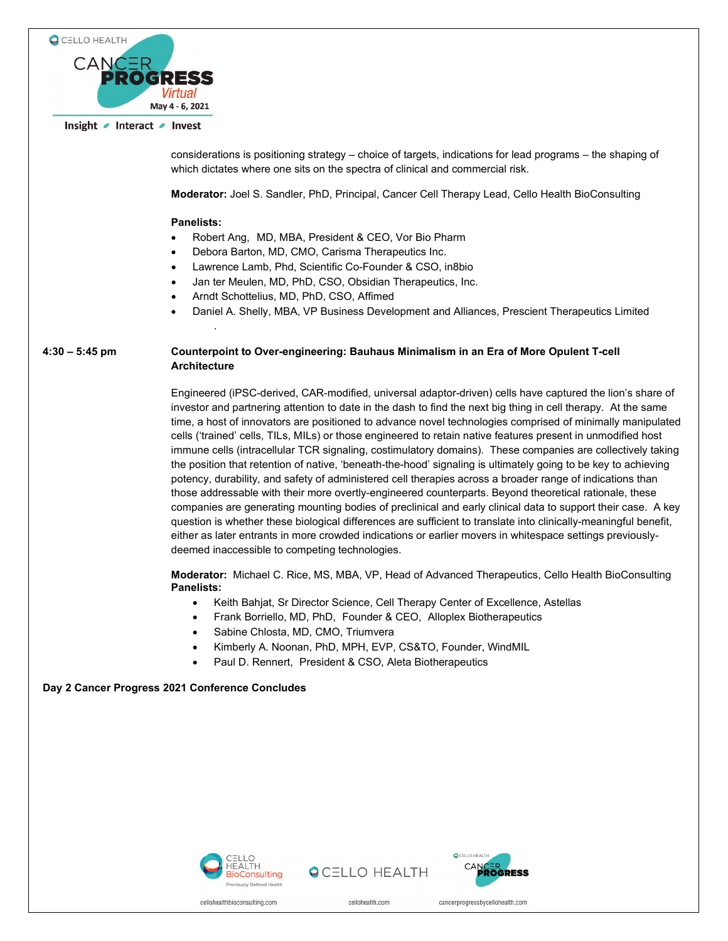

considerations is positioning strategy – choice of targets, indications for lead programs – the shaping of which dictates where one sits on the spectra of clinical and commercial risk.

**Moderator:** Joel S. Sandler, PhD, Principal, Cancer Cell Therapy Lead, Cello Health BioConsulting

#### **Panelists:**

.

- Robert Ang, MD, MBA, President & CEO, Vor Bio Pharm
- Debora Barton, MD, CMO, Carisma Therapeutics Inc.
- Lawrence Lamb, Phd, Scientific Co-Founder & CSO, in8bio
- Jan ter Meulen, MD, PhD, CSO, Obsidian Therapeutics, Inc.
- Arndt Schottelius, MD, PhD, CSO, Affimed
- Daniel A. Shelly, MBA, VP Business Development and Alliances, Prescient Therapeutics Limited

## **4:30 – 5:45 pm Counterpoint to Over-engineering: Bauhaus Minimalism in an Era of More Opulent T-cell Architecture**

Engineered (iPSC-derived, CAR-modified, universal adaptor-driven) cells have captured the lion's share of investor and partnering attention to date in the dash to find the next big thing in cell therapy. At the same time, a host of innovators are positioned to advance novel technologies comprised of minimally manipulated cells ('trained' cells, TILs, MILs) or those engineered to retain native features present in unmodified host immune cells (intracellular TCR signaling, costimulatory domains). These companies are collectively taking the position that retention of native, 'beneath-the-hood' signaling is ultimately going to be key to achieving potency, durability, and safety of administered cell therapies across a broader range of indications than those addressable with their more overtly-engineered counterparts. Beyond theoretical rationale, these companies are generating mounting bodies of preclinical and early clinical data to support their case. A key question is whether these biological differences are sufficient to translate into clinically-meaningful benefit, either as later entrants in more crowded indications or earlier movers in whitespace settings previouslydeemed inaccessible to competing technologies.

**Moderator:** Michael C. Rice, MS, MBA, VP, Head of Advanced Therapeutics, Cello Health BioConsulting **Panelists:**

- Keith Bahjat, Sr Director Science, Cell Therapy Center of Excellence, Astellas
- Frank Borriello, MD, PhD, Founder & CEO, Alloplex Biotherapeutics
- Sabine Chlosta, MD, CMO, Triumvera
- Kimberly A. Noonan, PhD, MPH, EVP, CS&TO, Founder, WindMIL
- Paul D. Rennert, President & CSO, Aleta Biotherapeutics

## **Day 2 Cancer Progress 2021 Conference Concludes**



**QCELLO HEALTH** 



cellohealth com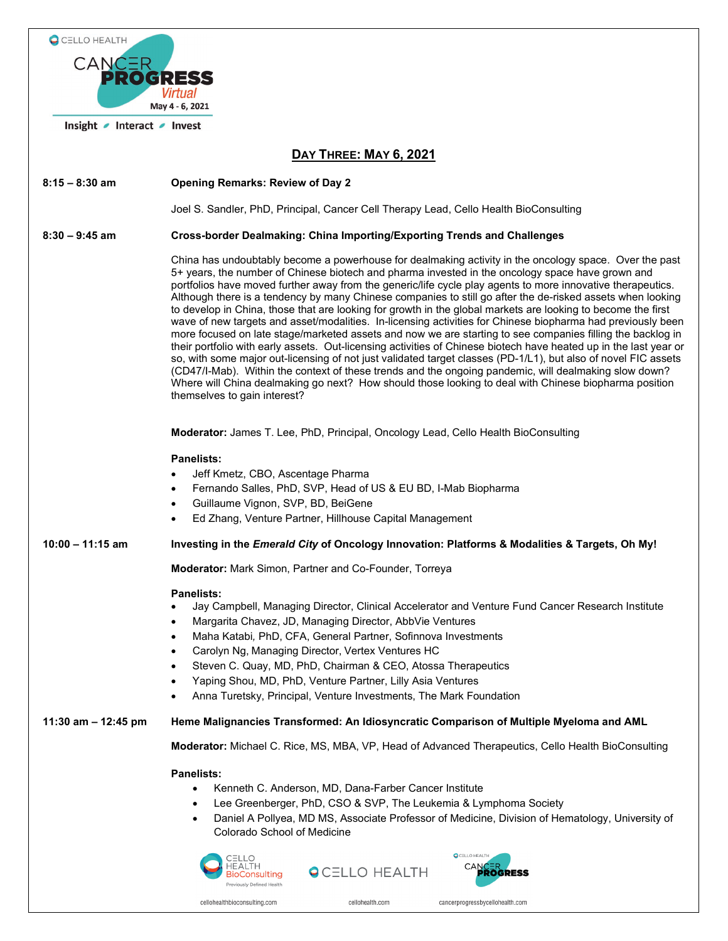| C CELLO HEALTH                                          |                                                                                                                                                                                                                                                                                                                                                                                                                                                                                                                                                                                                                                                                                                                                                                                                                                                                                                                                                                                                                                                                                                                                                                                                                                                                               |
|---------------------------------------------------------|-------------------------------------------------------------------------------------------------------------------------------------------------------------------------------------------------------------------------------------------------------------------------------------------------------------------------------------------------------------------------------------------------------------------------------------------------------------------------------------------------------------------------------------------------------------------------------------------------------------------------------------------------------------------------------------------------------------------------------------------------------------------------------------------------------------------------------------------------------------------------------------------------------------------------------------------------------------------------------------------------------------------------------------------------------------------------------------------------------------------------------------------------------------------------------------------------------------------------------------------------------------------------------|
| CANCER<br>PROGRESS<br><b>Virtual</b><br>May 4 - 6, 2021 |                                                                                                                                                                                                                                                                                                                                                                                                                                                                                                                                                                                                                                                                                                                                                                                                                                                                                                                                                                                                                                                                                                                                                                                                                                                                               |
| Insight <i>Interact</i> / Invest                        |                                                                                                                                                                                                                                                                                                                                                                                                                                                                                                                                                                                                                                                                                                                                                                                                                                                                                                                                                                                                                                                                                                                                                                                                                                                                               |
| DAY THREE: MAY 6, 2021                                  |                                                                                                                                                                                                                                                                                                                                                                                                                                                                                                                                                                                                                                                                                                                                                                                                                                                                                                                                                                                                                                                                                                                                                                                                                                                                               |
| $8:15 - 8:30$ am                                        | <b>Opening Remarks: Review of Day 2</b>                                                                                                                                                                                                                                                                                                                                                                                                                                                                                                                                                                                                                                                                                                                                                                                                                                                                                                                                                                                                                                                                                                                                                                                                                                       |
|                                                         | Joel S. Sandler, PhD, Principal, Cancer Cell Therapy Lead, Cello Health BioConsulting                                                                                                                                                                                                                                                                                                                                                                                                                                                                                                                                                                                                                                                                                                                                                                                                                                                                                                                                                                                                                                                                                                                                                                                         |
| $8:30 - 9:45$ am                                        | <b>Cross-border Dealmaking: China Importing/Exporting Trends and Challenges</b>                                                                                                                                                                                                                                                                                                                                                                                                                                                                                                                                                                                                                                                                                                                                                                                                                                                                                                                                                                                                                                                                                                                                                                                               |
|                                                         | China has undoubtably become a powerhouse for dealmaking activity in the oncology space. Over the past<br>5+ years, the number of Chinese biotech and pharma invested in the oncology space have grown and<br>portfolios have moved further away from the generic/life cycle play agents to more innovative therapeutics.<br>Although there is a tendency by many Chinese companies to still go after the de-risked assets when looking<br>to develop in China, those that are looking for growth in the global markets are looking to become the first<br>wave of new targets and asset/modalities. In-licensing activities for Chinese biopharma had previously been<br>more focused on late stage/marketed assets and now we are starting to see companies filling the backlog in<br>their portfolio with early assets. Out-licensing activities of Chinese biotech have heated up in the last year or<br>so, with some major out-licensing of not just validated target classes (PD-1/L1), but also of novel FIC assets<br>(CD47/I-Mab). Within the context of these trends and the ongoing pandemic, will dealmaking slow down?<br>Where will China dealmaking go next? How should those looking to deal with Chinese biopharma position<br>themselves to gain interest? |
|                                                         | Moderator: James T. Lee, PhD, Principal, Oncology Lead, Cello Health BioConsulting                                                                                                                                                                                                                                                                                                                                                                                                                                                                                                                                                                                                                                                                                                                                                                                                                                                                                                                                                                                                                                                                                                                                                                                            |
|                                                         | <b>Panelists:</b><br>Jeff Kmetz, CBO, Ascentage Pharma<br>$\bullet$<br>Fernando Salles, PhD, SVP, Head of US & EU BD, I-Mab Biopharma<br>$\bullet$<br>Guillaume Vignon, SVP, BD, BeiGene<br>$\bullet$<br>Ed Zhang, Venture Partner, Hillhouse Capital Management<br>$\bullet$                                                                                                                                                                                                                                                                                                                                                                                                                                                                                                                                                                                                                                                                                                                                                                                                                                                                                                                                                                                                 |
| $10:00 - 11:15$ am                                      | Investing in the Emerald City of Oncology Innovation: Platforms & Modalities & Targets, Oh My!                                                                                                                                                                                                                                                                                                                                                                                                                                                                                                                                                                                                                                                                                                                                                                                                                                                                                                                                                                                                                                                                                                                                                                                |
|                                                         | Moderator: Mark Simon, Partner and Co-Founder, Torreya                                                                                                                                                                                                                                                                                                                                                                                                                                                                                                                                                                                                                                                                                                                                                                                                                                                                                                                                                                                                                                                                                                                                                                                                                        |
|                                                         | <b>Panelists:</b><br>Jay Campbell, Managing Director, Clinical Accelerator and Venture Fund Cancer Research Institute<br>Margarita Chavez, JD, Managing Director, AbbVie Ventures<br>$\bullet$<br>Maha Katabi, PhD, CFA, General Partner, Sofinnova Investments<br>$\bullet$<br>Carolyn Ng, Managing Director, Vertex Ventures HC<br>$\bullet$<br>Steven C. Quay, MD, PhD, Chairman & CEO, Atossa Therapeutics<br>$\bullet$<br>Yaping Shou, MD, PhD, Venture Partner, Lilly Asia Ventures<br>$\bullet$<br>Anna Turetsky, Principal, Venture Investments, The Mark Foundation<br>$\bullet$                                                                                                                                                                                                                                                                                                                                                                                                                                                                                                                                                                                                                                                                                     |
| 11:30 am - 12:45 pm                                     | Heme Malignancies Transformed: An Idiosyncratic Comparison of Multiple Myeloma and AML                                                                                                                                                                                                                                                                                                                                                                                                                                                                                                                                                                                                                                                                                                                                                                                                                                                                                                                                                                                                                                                                                                                                                                                        |
|                                                         | Moderator: Michael C. Rice, MS, MBA, VP, Head of Advanced Therapeutics, Cello Health BioConsulting                                                                                                                                                                                                                                                                                                                                                                                                                                                                                                                                                                                                                                                                                                                                                                                                                                                                                                                                                                                                                                                                                                                                                                            |
|                                                         | <b>Panelists:</b><br>Kenneth C. Anderson, MD, Dana-Farber Cancer Institute<br>$\bullet$<br>Lee Greenberger, PhD, CSO & SVP, The Leukemia & Lymphoma Society<br>$\bullet$<br>Daniel A Pollyea, MD MS, Associate Professor of Medicine, Division of Hematology, University of<br>٠<br>Colorado School of Medicine<br>C CELLO HEALTH<br>CELLO                                                                                                                                                                                                                                                                                                                                                                                                                                                                                                                                                                                                                                                                                                                                                                                                                                                                                                                                    |
|                                                         | <b>OCELLO HEALTH</b><br>ROGRESS<br>ioConsulting<br>Previously Defined Health                                                                                                                                                                                                                                                                                                                                                                                                                                                                                                                                                                                                                                                                                                                                                                                                                                                                                                                                                                                                                                                                                                                                                                                                  |

cellohealth.com

 $\,$  cancerprogressby<br>cellohealth.com

 $\operatorname{cell}$ ohealthbioconsulting.com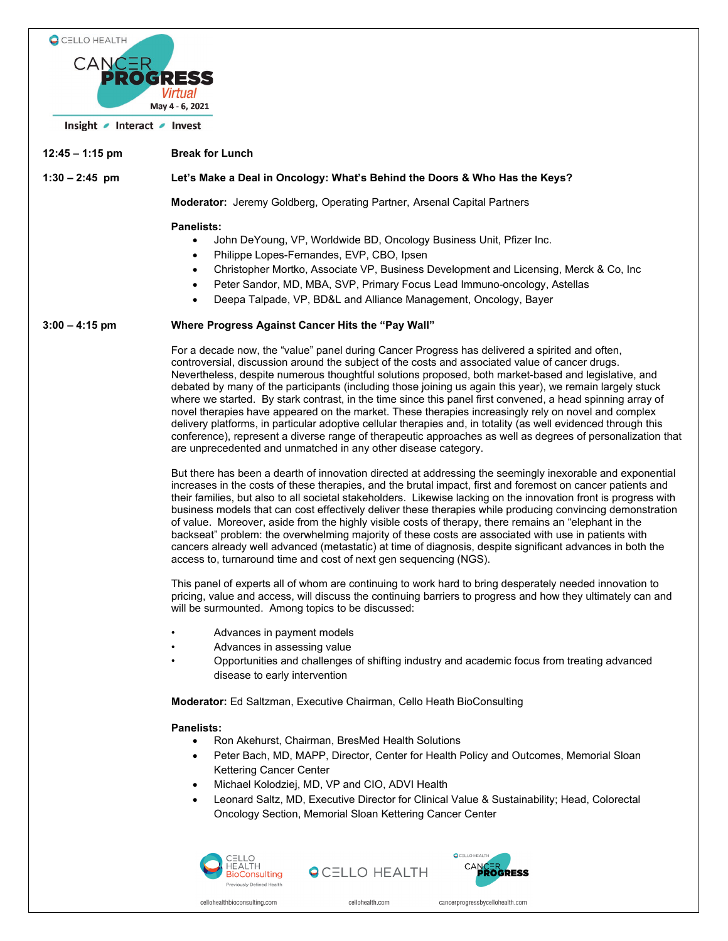

**12:45 – 1:15 pm Break for Lunch**

**1:30 – 2:45 pm Let's Make a Deal in Oncology: What's Behind the Doors & Who Has the Keys?**

**Moderator:** Jeremy Goldberg, Operating Partner, Arsenal Capital Partners

#### **Panelists:**

- John DeYoung, VP, Worldwide BD, Oncology Business Unit, Pfizer Inc.
- Philippe Lopes-Fernandes, EVP, CBO, Ipsen
- Christopher Mortko, Associate VP, Business Development and Licensing, Merck & Co, Inc
- Peter Sandor, MD, MBA, SVP, Primary Focus Lead Immuno-oncology, Astellas
- Deepa Talpade, VP, BD&L and Alliance Management, Oncology, Bayer

#### **3:00 – 4:15 pm Where Progress Against Cancer Hits the "Pay Wall"**

For a decade now, the "value" panel during Cancer Progress has delivered a spirited and often, controversial, discussion around the subject of the costs and associated value of cancer drugs. Nevertheless, despite numerous thoughtful solutions proposed, both market-based and legislative, and debated by many of the participants (including those joining us again this year), we remain largely stuck where we started. By stark contrast, in the time since this panel first convened, a head spinning array of novel therapies have appeared on the market. These therapies increasingly rely on novel and complex delivery platforms, in particular adoptive cellular therapies and, in totality (as well evidenced through this conference), represent a diverse range of therapeutic approaches as well as degrees of personalization that are unprecedented and unmatched in any other disease category.

But there has been a dearth of innovation directed at addressing the seemingly inexorable and exponential increases in the costs of these therapies, and the brutal impact, first and foremost on cancer patients and their families, but also to all societal stakeholders. Likewise lacking on the innovation front is progress with business models that can cost effectively deliver these therapies while producing convincing demonstration of value. Moreover, aside from the highly visible costs of therapy, there remains an "elephant in the backseat" problem: the overwhelming majority of these costs are associated with use in patients with cancers already well advanced (metastatic) at time of diagnosis, despite significant advances in both the access to, turnaround time and cost of next gen sequencing (NGS).

This panel of experts all of whom are continuing to work hard to bring desperately needed innovation to pricing, value and access, will discuss the continuing barriers to progress and how they ultimately can and will be surmounted. Among topics to be discussed:

- Advances in payment models
- Advances in assessing value
- Opportunities and challenges of shifting industry and academic focus from treating advanced disease to early intervention

**Moderator:** Ed Saltzman, Executive Chairman, Cello Heath BioConsulting

## **Panelists:**

- Ron Akehurst, Chairman, BresMed Health Solutions
- Peter Bach, MD, MAPP, Director, Center for Health Policy and Outcomes, Memorial Sloan Kettering Cancer Center
- Michael Kolodziej, MD, VP and CIO, ADVI Health
- Leonard Saltz, MD, Executive Director for Clinical Value & Sustainability; Head, Colorectal Oncology Section, Memorial Sloan Kettering Cancer Center







cellohealth com